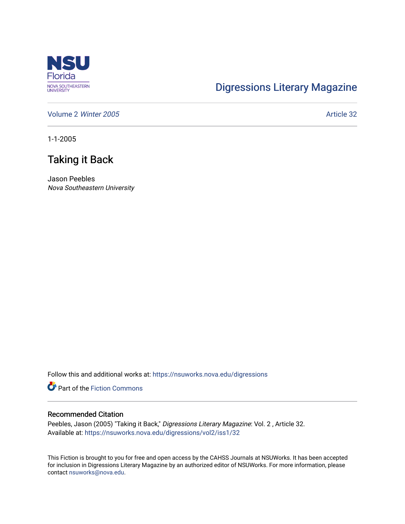

## [Digressions Literary Magazine](https://nsuworks.nova.edu/digressions)

[Volume 2](https://nsuworks.nova.edu/digressions/vol2) Winter 2005 **Article 32** 

1-1-2005

## Taking it Back

Jason Peebles Nova Southeastern University

Follow this and additional works at: [https://nsuworks.nova.edu/digressions](https://nsuworks.nova.edu/digressions?utm_source=nsuworks.nova.edu%2Fdigressions%2Fvol2%2Fiss1%2F32&utm_medium=PDF&utm_campaign=PDFCoverPages) 

**Part of the Fiction Commons** 

## Recommended Citation

Peebles, Jason (2005) "Taking it Back," Digressions Literary Magazine: Vol. 2 , Article 32. Available at: [https://nsuworks.nova.edu/digressions/vol2/iss1/32](https://nsuworks.nova.edu/digressions/vol2/iss1/32?utm_source=nsuworks.nova.edu%2Fdigressions%2Fvol2%2Fiss1%2F32&utm_medium=PDF&utm_campaign=PDFCoverPages) 

This Fiction is brought to you for free and open access by the CAHSS Journals at NSUWorks. It has been accepted for inclusion in Digressions Literary Magazine by an authorized editor of NSUWorks. For more information, please contact [nsuworks@nova.edu.](mailto:nsuworks@nova.edu)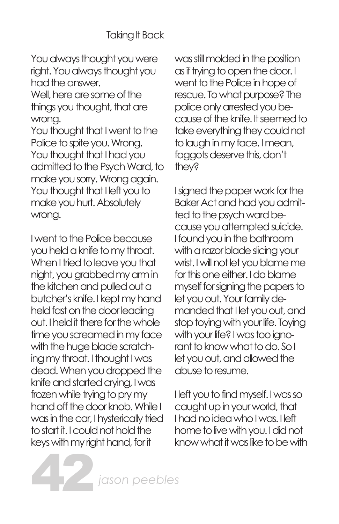You always thought you were right. You always thought you had the answer.

Well, here are some of the things you thought, that are wrong.

You thought that I went to the Police to spite you. Wrong. You thought that I had you admitted to the Psych Ward, to make you sorry. Wrong again. You thought that I left you to make you hurt. Absolutely wrong.

I went to the Police because you held a knife to my throat. When I tried to leave you that night, you grabbed my arm in the kitchen and pulled out a butcher's knife. I kept my hand held fast on the door leading out. I held it there for the whole time you screamed in my face with the huge blade scratching my throat. I thought I was dead. When you dropped the knife and started crying, I was frozen while trying to pry my hand off the door knob. While I was in the car, I hysterically tried to start it. I could not hold the keys with my right hand, for it

42

was still molded in the position as if trying to open the door. I went to the Police in hope of rescue. To what purpose? The police only arrested you because of the knife. It seemed to take everything they could not to laugh in my face. I mean, faggots deserve this, don't they?

I signed the paper work for the Baker Act and had you admitted to the psych ward because you attempted suicide. I found you in the bathroom with a razor blade slicing your wrist. I will not let you blame me for this one either. I do blame myself for signing the papers to let you out. Your family demanded that I let you out, and stop toying with your life. Toying with your life? I was too ignorant to know what to do. So I let you out, and allowed the abuse to resume.

I left you to find myself. I was so caught up in your world, that I had no idea who I was. I left home to live with you. I did not know what it was like to be with

*jason peebles*